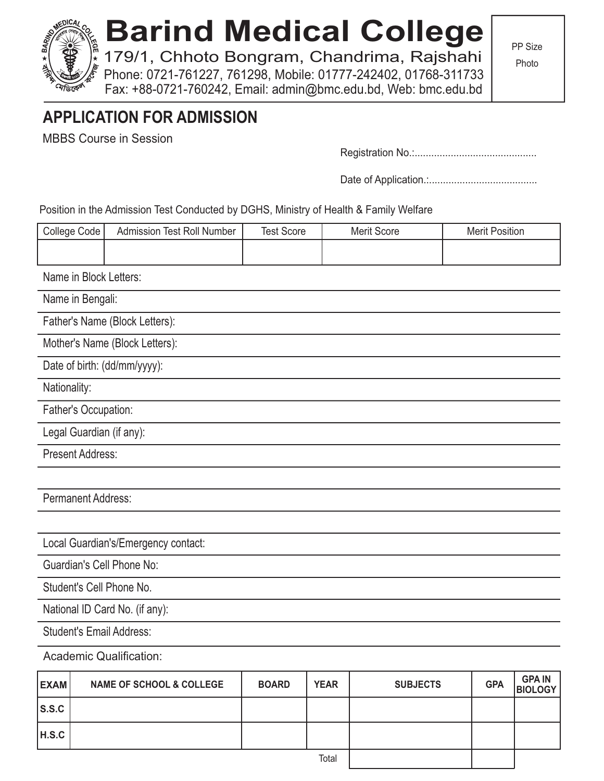# **Barind Medical College**

179/1, Chhoto Bongram, Chandrima, Rajshahi Phone: 0721-761227, 761298, Mobile: 01777-242402, 01768-311733 Fax: +88-0721-760242, Email: admin@bmc.edu.bd, Web: bmc.edu.bd

PP Size

Photo

## **APPLICATION FOR ADMISSION**

MBBS Course in Session

Registration No.:............................................

Date of Application.:.......................................

Position in the Admission Test Conducted by DGHS, Ministry of Health & Family Welfare

| College Code                        | <b>Admission Test Roll Number</b> | <b>Test Score</b> | <b>Merit Score</b> | <b>Merit Position</b> |
|-------------------------------------|-----------------------------------|-------------------|--------------------|-----------------------|
|                                     |                                   |                   |                    |                       |
| Name in Block Letters:              |                                   |                   |                    |                       |
| Name in Bengali:                    |                                   |                   |                    |                       |
| Father's Name (Block Letters):      |                                   |                   |                    |                       |
| Mother's Name (Block Letters):      |                                   |                   |                    |                       |
| Date of birth: (dd/mm/yyyy):        |                                   |                   |                    |                       |
| Nationality:                        |                                   |                   |                    |                       |
| Father's Occupation:                |                                   |                   |                    |                       |
| Legal Guardian (if any):            |                                   |                   |                    |                       |
| <b>Present Address:</b>             |                                   |                   |                    |                       |
|                                     |                                   |                   |                    |                       |
| <b>Permanent Address:</b>           |                                   |                   |                    |                       |
|                                     |                                   |                   |                    |                       |
| Local Guardian's/Emergency contact: |                                   |                   |                    |                       |
| <b>Guardian's Cell Phone No:</b>    |                                   |                   |                    |                       |
| Student's Cell Phone No.            |                                   |                   |                    |                       |
| National ID Card No. (if any):      |                                   |                   |                    |                       |
| <b>Student's Email Address:</b>     |                                   |                   |                    |                       |
| <b>Academic Qualification:</b>      |                                   |                   |                    |                       |

**EXAM S.S.C H.S.C** NAME OF SCHOOL & COLLEGE | BOARD | YEAR **Total SUBJECTS GPA GPA IN BIOLOGY**